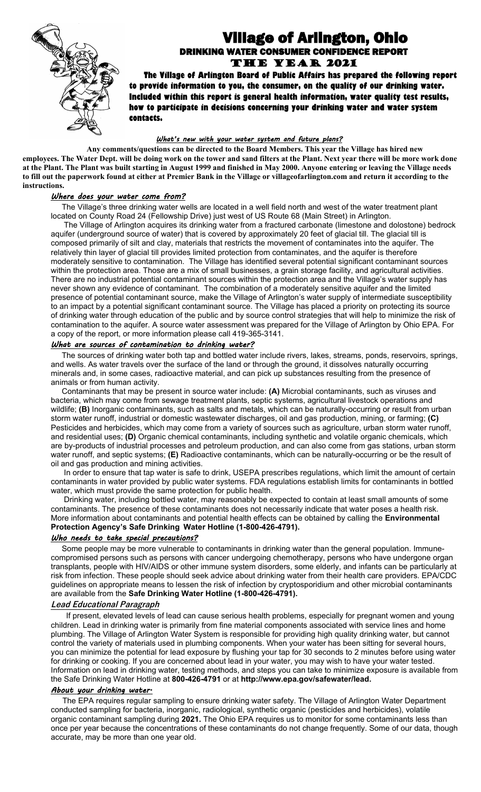

# Village of Arlington, Ohio DRINKING WATER CONSUMER CONFIDENCE REPORT The YEAR 2021

 **The Village of Arlington Board of Public Affairs has prepared the following report to provide information to you, the consumer, on the quality of our drinking water. Included within this report is general health information, water quality test results, how to participate in decisions concerning your drinking water and water system contacts.**

# *What's new with your water system and future plans?*

**Any comments/questions can be directed to the Board Members. This year the Village has hired new employees. The Water Dept. will be doing work on the tower and sand filters at the Plant. Next year there will be more work done at the Plant. The Plant was built starting in August 1999 and finished in May 2000. Anyone entering or leaving the Village needs to fill out the paperwork found at either at Premier Bank in the Village or villageofarlington.com and return it according to the instructions.** 

## *Where does your water come from?*

 The Village's three drinking water wells are located in a well field north and west of the water treatment plant located on County Road 24 (Fellowship Drive) just west of US Route 68 (Main Street) in Arlington.

 The Village of Arlington acquires its drinking water from a fractured carbonate (limestone and dolostone) bedrock aquifer (underground source of water) that is covered by approximately 20 feet of glacial till. The glacial till is composed primarily of silt and clay, materials that restricts the movement of contaminates into the aquifer. The relatively thin layer of glacial till provides limited protection from contaminates, and the aquifer is therefore moderately sensitive to contamination. The Village has identified several potential significant contaminant sources within the protection area. Those are a mix of small businesses, a grain storage facility, and agricultural activities. There are no industrial potential contaminant sources within the protection area and the Village's water supply has never shown any evidence of contaminant. The combination of a moderately sensitive aquifer and the limited presence of potential contaminant source, make the Village of Arlington's water supply of intermediate susceptibility to an impact by a potential significant contaminant source. The Village has placed a priority on protecting its source of drinking water through education of the public and by source control strategies that will help to minimize the risk of contamination to the aquifer. A source water assessment was prepared for the Village of Arlington by Ohio EPA. For a copy of the report, or more information please call 419-365-3141.

# *What are sources of contamination to drinking water?*

 The sources of drinking water both tap and bottled water include rivers, lakes, streams, ponds, reservoirs, springs, and wells. As water travels over the surface of the land or through the ground, it dissolves naturally occurring minerals and, in some cases, radioactive material, and can pick up substances resulting from the presence of animals or from human activity.

 Contaminants that may be present in source water include: **(A)** Microbial contaminants, such as viruses and bacteria, which may come from sewage treatment plants, septic systems, agricultural livestock operations and wildlife; **(B)** Inorganic contaminants, such as salts and metals, which can be naturally-occurring or result from urban storm water runoff, industrial or domestic wastewater discharges, oil and gas production, mining, or farming; **(C)** Pesticides and herbicides, which may come from a variety of sources such as agriculture, urban storm water runoff, and residential uses; **(D)** Organic chemical contaminants, including synthetic and volatile organic chemicals, which are by-products of industrial processes and petroleum production, and can also come from gas stations, urban storm water runoff, and septic systems; **(E)** Radioactive contaminants, which can be naturally-occurring or be the result of oil and gas production and mining activities.

 In order to ensure that tap water is safe to drink, USEPA prescribes regulations, which limit the amount of certain contaminants in water provided by public water systems. FDA regulations establish limits for contaminants in bottled water, which must provide the same protection for public health.

 Drinking water, including bottled water, may reasonably be expected to contain at least small amounts of some contaminants. The presence of these contaminants does not necessarily indicate that water poses a health risk. More information about contaminants and potential health effects can be obtained by calling the **Environmental Protection Agency's Safe Drinking****Water Hotline (1-800-426-4791).**

# *Who needs to take special precautions?*

 Some people may be more vulnerable to contaminants in drinking water than the general population. Immunecompromised persons such as persons with cancer undergoing chemotherapy, persons who have undergone organ transplants, people with HIV/AIDS or other immune system disorders, some elderly, and infants can be particularly at risk from infection. These people should seek advice about drinking water from their health care providers. EPA/CDC guidelines on appropriate means to lessen the risk of infection by cryptosporidium and other microbial contaminants are available from the **Safe Drinking Water Hotline (1-800-426-4791).**

### **Lead Educational Paragraph**

If present, elevated levels of lead can cause serious health problems, especially for pregnant women and young children. Lead in drinking water is primarily from fine material components associated with service lines and home plumbing. The Village of Arlington Water System is responsible for providing high quality drinking water, but cannot control the variety of materials used in plumbing components. When your water has been sitting for several hours, you can minimize the potential for lead exposure by flushing your tap for 30 seconds to 2 minutes before using water for drinking or cooking. If you are concerned about lead in your water, you may wish to have your water tested. Information on lead in drinking water, testing methods, and steps you can take to minimize exposure is available from the Safe Drinking Water Hotline at **800-426-4791** or at **http://www.epa.gov/safewater/lead.**

### *About your drinking water.*

The EPA requires regular sampling to ensure drinking water safety. The Village of Arlington Water Department conducted sampling for bacteria, inorganic, radiological, synthetic organic (pesticides and herbicides), volatile organic contaminant sampling during **2021.** The Ohio EPA requires us to monitor for some contaminants less than once per year because the concentrations of these contaminants do not change frequently. Some of our data, though accurate, may be more than one year old.